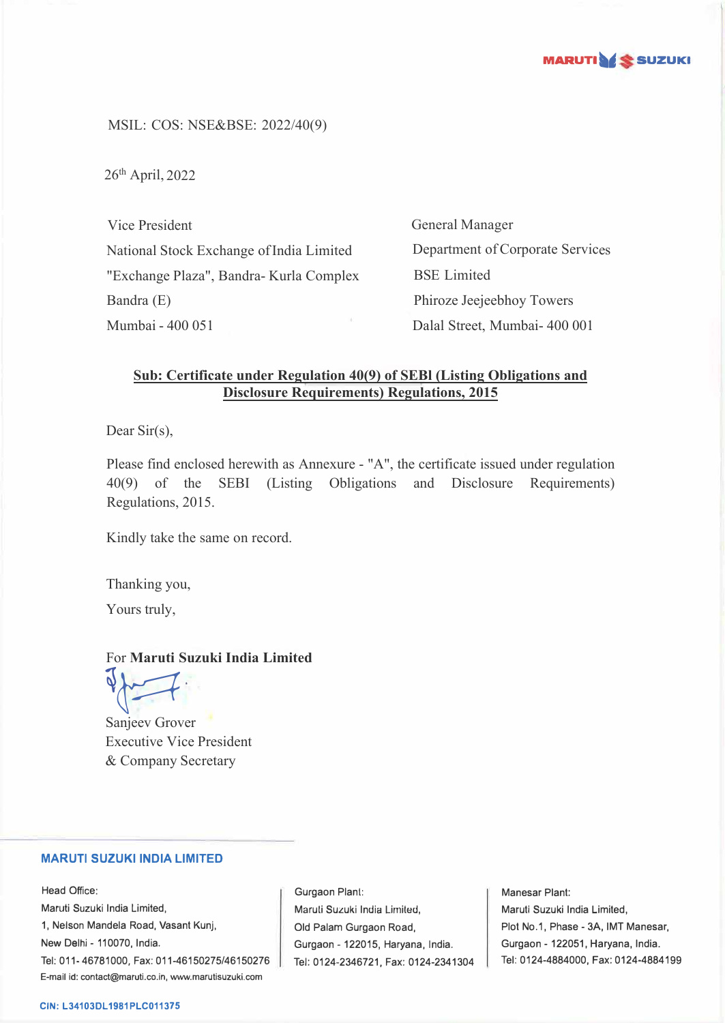

MSIL: COS: NSE&BSE: 2022/40(9)

 $26<sup>th</sup>$  April, 2022

Vice President National Stock Exchange of India Limited "Exchange Plaza", Bandra- Kurla Complex Bandra (E) Mumbai - 400 051

General Manager Department of Corporate Services BSE Limited Phiroze Jeejeebhoy Towers Dalal Street, Mumbai- 400 001

## **Sub: Certificate under Regulation 40(9) of SEBl (Listing Obligations and Disclosure Requirements) Regulations, 2015**

Dear Sir(s),

Please find enclosed herewith as Annexure - "A", the certificate issued under regulation 40(9) of the SEBI (Listing Obligations and Disclosure Requirements) Regulations, 2015.

Kindly take the same on record.

Thanking you,

Yours truly,

## For **Maruti Suzuki India Limited**

Sanjeev Grover

Executive Vice President & Company Secretary

## **MARUTI SUZUKI INDIA LIMITED**

Head Office: Maruti Suzuki India Limited, 1, Nelson Mandela Road, Vasant Kunj, New Delhi - 110070, India. Tel: 011-46781000, Fax: 011-46150275/46150276 E-mail id: contact@maruti.co.in, www.marutisuzuki.com

Gurgaon Plant: Maruli Suzuki India Lirniled, Old Palam Gurgaon Road, Gurgaon - 122015, Haryana, India. Tel: 0124-2346721, Fax: 0124-2341304

Manesar Plant: Maruti Suzuki India Limited, Plot No.1, Phase - 3A, IMT Manesar, Gurgaon - 122051, Haryana, India. Tel: 0124-4884000, Fax: 0124-4884199

#### **CIN: L34103DL1981PLC011375**